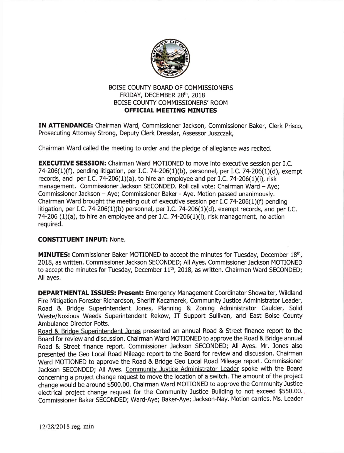

## BOISE COUNTY BOARD OF COMMISSIONERS FRIDAY, DECEMBER 28th, 2018 BOISE COUNTY COMMISSIONERS' ROOM OFFICIAL MEETING MINUTES

IN ATTENDANCE: Chairman Ward, Commissloner Jackson, Commissioner Baker, Clerk Prisco, Prosecuting Attorney Strong, Deputy Clerk Dresslar, Assessor Juszczak,

Chairman Ward called the meeting to order and the pledge of allegiance was recited.

**EXECUTIVE SESSION:** Chairman Ward MOTIONED to move into executive session per I.C. 74-206(1)(f), pending litigation, per I.C. 74-206(1)(b), personnel, per I.C. 74-206(1)(d), exempt records, and per I.C. 74-206(1)(a), to hire an employee and per I.C. 74-206(1)(i), risk management. Commissioner Jackson SECONDED. Roll call vote: Chairman Ward - Aye; Commissioner Jackson - Aye; Commissioner Baker - Aye. Motion passed unanimously. Chairman Ward brought the meeting out of executive session per I.C  $74-206(1)(f)$  pending litigation, per 1.C.74-206(1)(b) personnel, per I.C. 74-206(1)(d), exempt records, and per LC. 74-206 (1)(a), to hire an employee and per I.C. 74-206(1)(i), risk management, no action required.

## **CONSTITUENT INPUT: None.**

MINUTES: Commissioner Baker MOTIONED to accept the minutes for Tuesday, December 18<sup>th</sup>, 2018, as written. Commissioner Jackson SECONDED; All Ayes. Commissioner Jackson MOTIONED to accept the minutes for Tuesday, December  $11<sup>th</sup>$ , 2018, as written. Chairman Ward SECONDED; All ayes.

DEPARTMENTAL ISSUES: Present: Emergency Management Coordinator Showalter, Wildland Fire Mitigation Forester Richardson, Sheriff Kaczmarek, Community Justice Administrator Leader, Road & Bridge Superintendent Jones, Planning & Zoning Administrator Caulder, Solid Waste/Noxious Weeds Superintendent Rekow, IT Support Sullivan, and East Boise County Ambulance Director Potts.

Road & Bridoe Suoerintendent Jones presented an annual Road & Street finance report to the Board for review and discussion. Chairman Ward MOTIONED to approve the Road & Bridge annual Road & Street finance report. Commissioner Jackson SECONDED; All Ayes. Mr. Jones also presented the Geo Local Road Mileage report to the Board for review and discussion. Chairman Ward MOTIONED to approve the Road & Bridge Geo Local Road Mileage report. Commissioner Jackson SECONDED; All Ayes. Community Justice Administrator Leader spoke with the Board concerning a project change request to move the location of a switch. The amount of the project change would be around \$500.00. Chairman Ward MOTIONED to approve the Community Justice electrical project change request for the Community Justice Building to not exceed \$550.00. Commissioner Baker SECONDED; Ward-Aye; Baker-Aye; Jackson-Nay. Motion carries. Ms. Leader